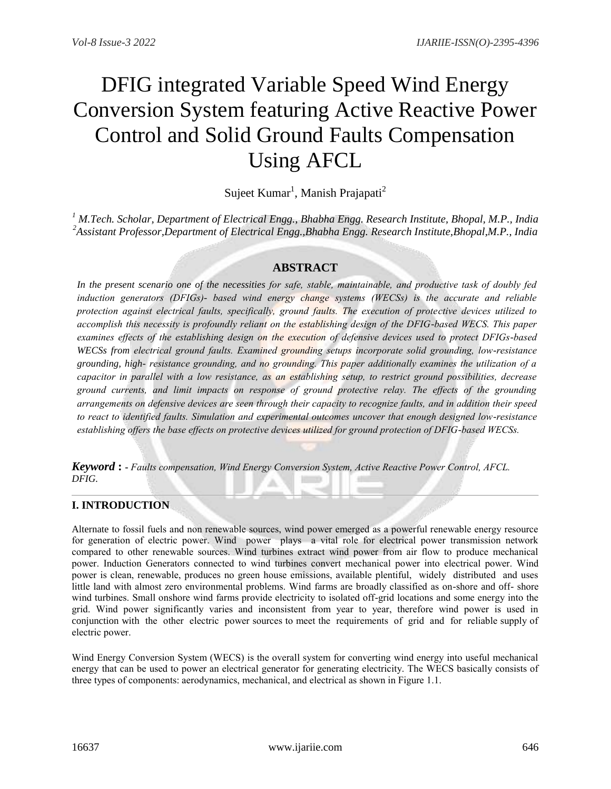# **DFIG** integrated Variable Speed Wind Energy **Conversion System featuring Active Reactive Power Control and Solid Ground Faults Compensation Using AFCL**

Sujeet Kumar<sup>1</sup>, Manish Prajapati<sup>2</sup>

<sup>1</sup> M.Tech. Scholar, Department of Electrical Engg., Bhabha Engg. Research Institute, Bhopal, M.P., India <sup>2</sup>Assistant Professor, Department of Electrical Engg., Bhabha Engg. Research Institute, Bhopal, M.P., India

## **ABSTRACT**

In the present scenario one of the necessities for safe, stable, maintainable, and productive task of doubly fed induction generators (DFIGs)- based wind energy change systems (WECSs) is the accurate and reliable protection against electrical faults, specifically, ground faults. The execution of protective devices utilized to accomplish this necessity is profoundly reliant on the establishing design of the DFIG-based WECS. This paper examines effects of the establishing design on the execution of defensive devices used to protect DFIGs-based WECSs from electrical ground faults. Examined grounding setups incorporate solid grounding, low-resistance grounding, high-resistance grounding, and no grounding. This paper additionally examines the utilization of a capacitor in parallel with a low resistance, as an establishing setup, to restrict ground possibilities, decrease ground currents, and limit impacts on response of ground protective relay. The effects of the grounding arrangements on defensive devices are seen through their capacity to recognize faults, and in addition their speed to react to identified faults. Simulation and experimental outcomes uncover that enough designed low-resistance establishing offers the base effects on protective devices utilized for ground protection of DFIG-based WECSs.

**Keyword:** - Faults compensation, Wind Energy Conversion System, Active Reactive Power Control, AFCL. DFIG.

## **I. INTRODUCTION**

Alternate to fossil fuels and non renewable sources, wind power emerged as a powerful renewable energy resource for generation of electric power. Wind power plays a vital role for electrical power transmission network compared to other renewable sources. Wind turbines extract wind power from air flow to produce mechanical power. Induction Generators connected to wind turbines convert mechanical power into electrical power. Wind power is clean, renewable, produces no green house emissions, available plentiful, widely distributed and uses little land with almost zero environmental problems. Wind farms are broadly classified as on-shore and off- shore wind turbines. Small onshore wind farms provide electricity to isolated off-grid locations and some energy into the grid. Wind power significantly varies and inconsistent from year to year, therefore wind power is used in conjunction with the other electric power sources to meet the requirements of grid and for reliable supply of electric power.

Wind Energy Conversion System (WECS) is the overall system for converting wind energy into useful mechanical energy that can be used to power an electrical generator for generating electricity. The WECS basically consists of three types of components: aerodynamics, mechanical, and electrical as shown in Figure 1.1.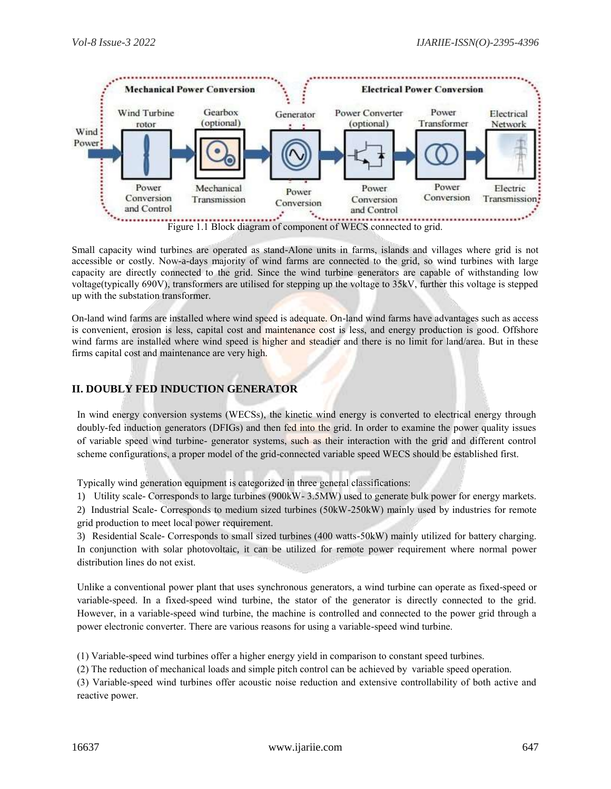

Small capacity wind turbines are operated as stand-Alone units in farms, islands and villages where grid is not accessible or costly. Now-a-days majority of wind farms are connected to the grid, so wind turbines with large capacity are directly connected to the grid. Since the wind turbine generators are capable of withstanding low voltage(typically 690V), transformers are utilised for stepping up the voltage to 35kV, further this voltage is stepped up with the substation transformer.

On-land wind farms are installed where wind speed is adequate. On-land wind farms have advantages such as access is convenient, erosion is less, capital cost and maintenance cost is less, and energy production is good. Offshore wind farms are installed where wind speed is higher and steadier and there is no limit for land/area. But in these firms capital cost and maintenance are very high.

## **II. DOUBLY FED INDUCTION GENERATOR**

In wind energy conversion systems (WECSs), the kinetic wind energy is converted to electrical energy through doubly-fed induction generators (DFIGs) and then fed into the grid. In order to examine the power quality issues of variable speed wind turbine-generator systems, such as their interaction with the grid and different control scheme configurations, a proper model of the grid-connected variable speed WECS should be established first.

Typically wind generation equipment is categorized in three general classifications:

1) Utility scale- Corresponds to large turbines (900kW-3.5MW) used to generate bulk power for energy markets.

2) Industrial Scale- Corresponds to medium sized turbines (50kW-250kW) mainly used by industries for remote grid production to meet local power requirement.

3) Residential Scale- Corresponds to small sized turbines (400 watts-50kW) mainly utilized for battery charging.

In conjunction with solar photovoltaic, it can be utilized for remote power requirement where normal power distribution lines do not exist.

Unlike a conventional power plant that uses synchronous generators, a wind turbine can operate as fixed-speed or variable-speed. In a fixed-speed wind turbine, the stator of the generator is directly connected to the grid. However, in a variable-speed wind turbine, the machine is controlled and connected to the power grid through a power electronic converter. There are various reasons for using a variable-speed wind turbine.

(1) Variable-speed wind turbines offer a higher energy yield in comparison to constant speed turbines.

(2) The reduction of mechanical loads and simple pitch control can be achieved by variable speed operation.

(3) Variable-speed wind turbines offer acoustic noise reduction and extensive controllability of both active and reactive power.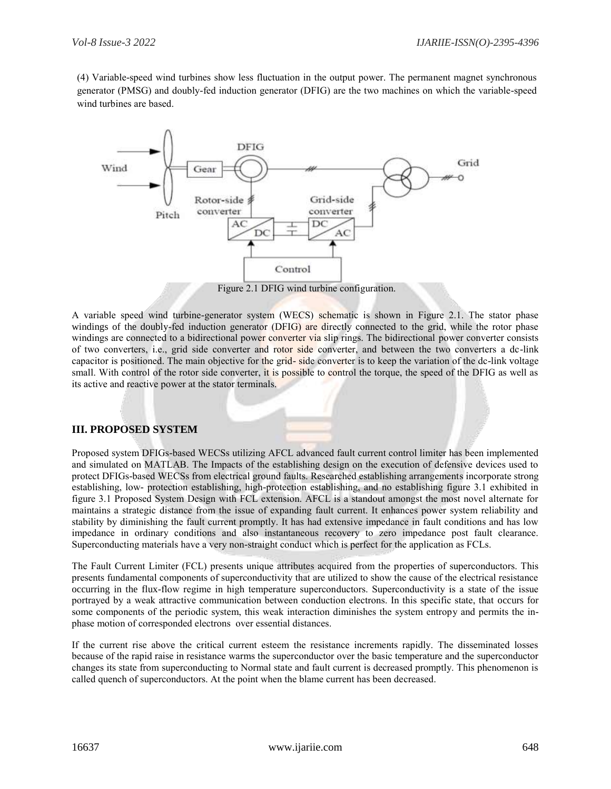(4) Variable-speed wind turbines show less fluctuation in the output power. The permanent magnet synchronous generator (PMSG) and doubly-fed induction generator (DFIG) are the two machines on which the variable-speed wind turbines are based.



A variable speed wind turbine-generator system (WECS) schematic is shown in Figure 2.1. The stator phase windings of the doubly-fed induction generator (DFIG) are directly connected to the grid, while the rotor phase windings are connected to a bidirectional power converter via slip rings. The bidirectional power converter consists of two converters, i.e., grid side converter and rotor side converter, and between the two converters a dc-link capacitor is positioned. The main objective for the grid-side converter is to keep the variation of the dc-link voltage small. With control of the rotor side converter, it is possible to control the torque, the speed of the DFIG as well as its active and reactive power at the stator terminals.

#### **III. PROPOSED SYSTEM**

Proposed system DFIGs-based WECSs utilizing AFCL advanced fault current control limiter has been implemented and simulated on MATLAB. The Impacts of the establishing design on the execution of defensive devices used to protect DFIGs-based WECSs from electrical ground faults. Researched establishing arrangements incorporate strong establishing, low- protection establishing, high-protection establishing, and no establishing figure 3.1 exhibited in figure 3.1 Proposed System Design with FCL extension. AFCL is a standout amongst the most novel alternate for maintains a strategic distance from the issue of expanding fault current. It enhances power system reliability and stability by diminishing the fault current promptly. It has had extensive impedance in fault conditions and has low impedance in ordinary conditions and also instantaneous recovery to zero impedance post fault clearance. Superconducting materials have a very non-straight conduct which is perfect for the application as FCLs.

The Fault Current Limiter (FCL) presents unique attributes acquired from the properties of superconductors. This presents fundamental components of superconductivity that are utilized to show the cause of the electrical resistance occurring in the flux-flow regime in high temperature superconductors. Superconductivity is a state of the issue portrayed by a weak attractive communication between conduction electrons. In this specific state, that occurs for some components of the periodic system, this weak interaction diminishes the system entropy and permits the inphase motion of corresponded electrons over essential distances.

If the current rise above the critical current esteem the resistance increments rapidly. The disseminated losses because of the rapid raise in resistance warms the superconductor over the basic temperature and the superconductor changes its state from superconducting to Normal state and fault current is decreased promptly. This phenomenon is called quench of superconductors. At the point when the blame current has been decreased.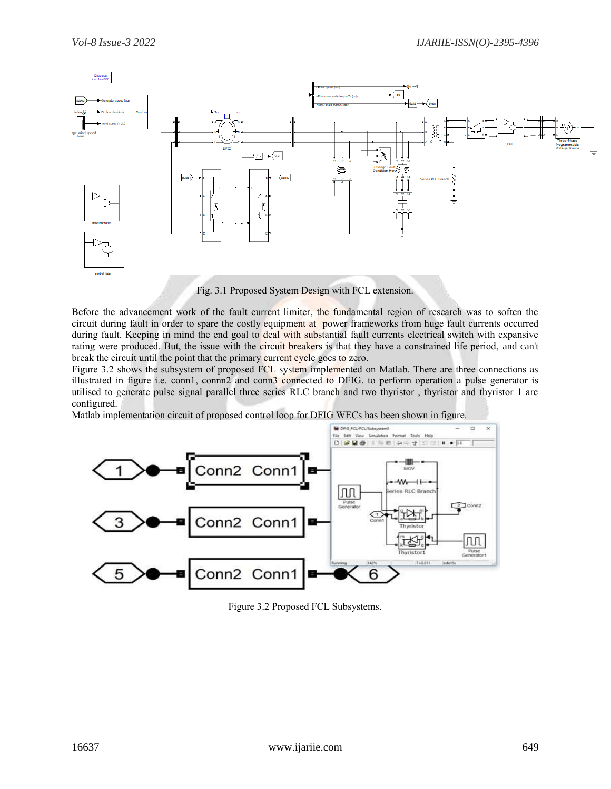

Before the advancement work of the fault current limiter, the fundamental region of research was to soften the circuit during fault in order to spare the costly equipment at power frameworks from huge fault currents occurred during fault. Keeping in mind the end goal to deal with substantial fault currents electrical switch with expansive rating were produced. But, the issue with the circuit breakers is that they have a constrained life period, and can't break the circuit until the point that the primary current cycle goes to zero.

Figure 3.2 shows the subsystem of proposed FCL system implemented on Matlab. There are three connections as illustrated in figure i.e. conn1, connn2 and conn3 connected to DFIG, to perform operation a pulse generator is utilised to generate pulse signal parallel three series RLC branch and two thyristor, thyristor and thyristor 1 are configured.

Matlab implementation circuit of proposed control loop for DFIG WECs has been shown in figure.



Figure 3.2 Proposed FCL Subsystems.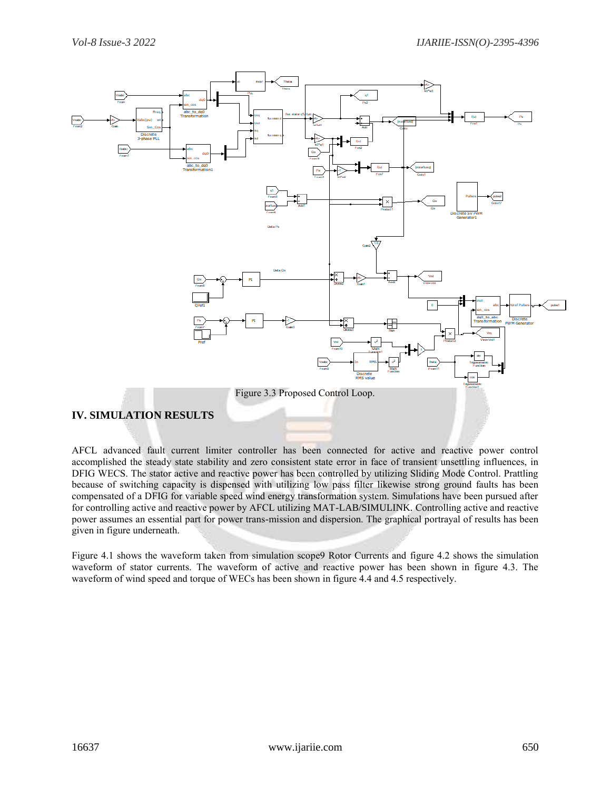

AFCL advanced fault current limiter controller has been connected for active and reactive power control accomplished the steady state stability and zero consistent state error in face of transient unsettling influences, in DFIG WECS. The stator active and reactive power has been controlled by utilizing Sliding Mode Control. Prattling because of switching capacity is dispensed with utilizing low pass filter likewise strong ground faults has been compensated of a DFIG for variable speed wind energy transformation system. Simulations have been pursued after for controlling active and reactive power by AFCL utilizing MAT-LAB/SIMULINK. Controlling active and reactive power assumes an essential part for power trans-mission and dispersion. The graphical portrayal of results has been given in figure underneath.

Figure 4.1 shows the waveform taken from simulation scope Rotor Currents and figure 4.2 shows the simulation waveform of stator currents. The waveform of active and reactive power has been shown in figure 4.3. The waveform of wind speed and torque of WECs has been shown in figure 4.4 and 4.5 respectively.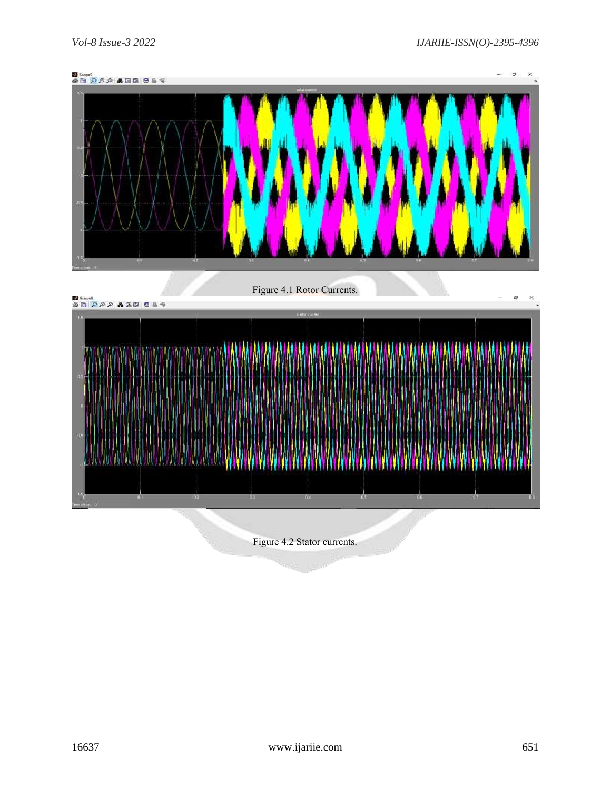



Figurе 4.2 Stator currеnts.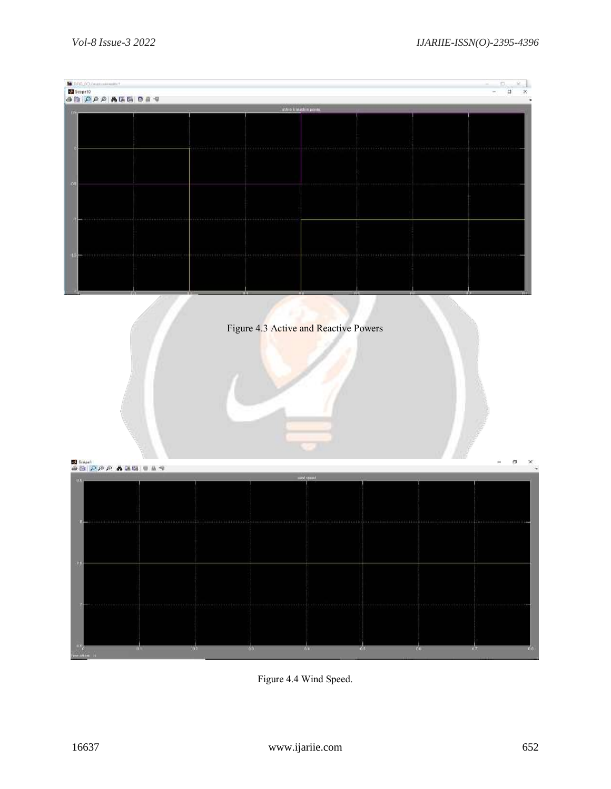

Figure 4.4 Wind Speed.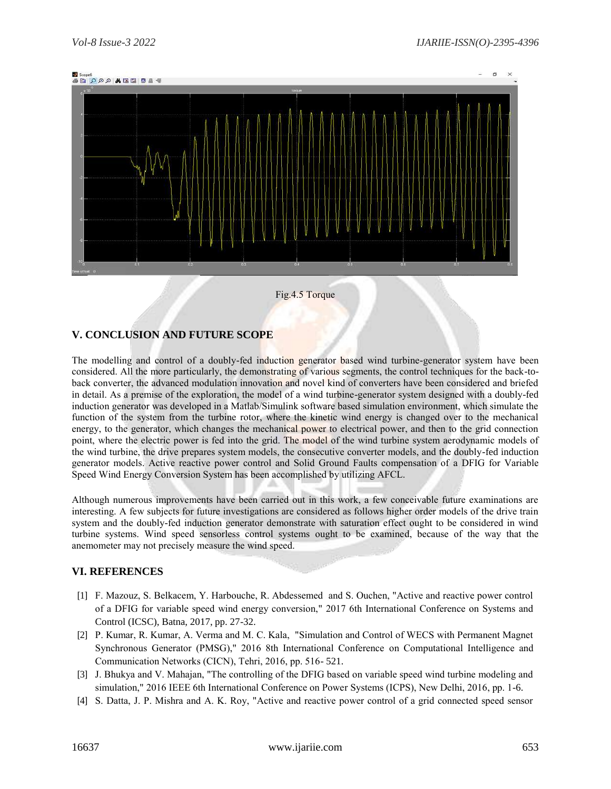

#### Fig.4.5 Torque

### V. CONCLUSION AND FUTURE SCOPE

The modelling and control of a doubly-fed induction generator based wind turbine-generator system have been considered. All the more particularly, the demonstrating of various segments, the control techniques for the back-toback converter, the advanced modulation innovation and novel kind of converters have been considered and briefed in detail. As a premise of the exploration, the model of a wind turbine-generator system designed with a doubly-fed induction generator was developed in a Matlab/Simulink software based simulation environment, which simulate the function of the system from the turbine rotor, where the kinetic wind energy is changed over to the mechanical energy, to the generator, which changes the mechanical power to electrical power, and then to the grid connection point, where the electric power is fed into the grid. The model of the wind turbine system aerodynamic models of the wind turbine, the drive prepares system models, the consecutive converter models, and the doubly-fed induction generator models. Active reactive power control and Solid Ground Faults compensation of a DFIG for Variable Speed Wind Energy Conversion System has been accomplished by utilizing AFCL.

Although numerous improvements have been carried out in this work, a few conceivable future examinations are interesting. A few subjects for future investigations are considered as follows higher order models of the drive train system and the doubly-fed induction generator demonstrate with saturation effect ought to be considered in wind turbine systems. Wind speed sensorless control systems ought to be examined, because of the way that the anemometer may not precisely measure the wind speed.

#### **VI. REFERENCES**

- [1] F. Mazouz, S. Belkacem, Y. Harbouche, R. Abdessemed and S. Ouchen, "Active and reactive power control of a DFIG for variable speed wind energy conversion," 2017 6th International Conference on Systems and Control (ICSC), Batna, 2017, pp. 27-32.
- [2] P. Kumar, R. Kumar, A. Verma and M. C. Kala, "Simulation and Control of WECS with Permanent Magnet Synchronous Generator (PMSG)," 2016 8th International Conference on Computational Intelligence and Communication Networks (CICN), Tehri, 2016, pp. 516-521.
- [3] J. Bhukya and V. Mahajan, "The controlling of the DFIG based on variable speed wind turbine modeling and simulation," 2016 IEEE 6th International Conference on Power Systems (ICPS), New Delhi, 2016, pp. 1-6.
- [4] S. Datta, J. P. Mishra and A. K. Roy, "Active and reactive power control of a grid connected speed sensor